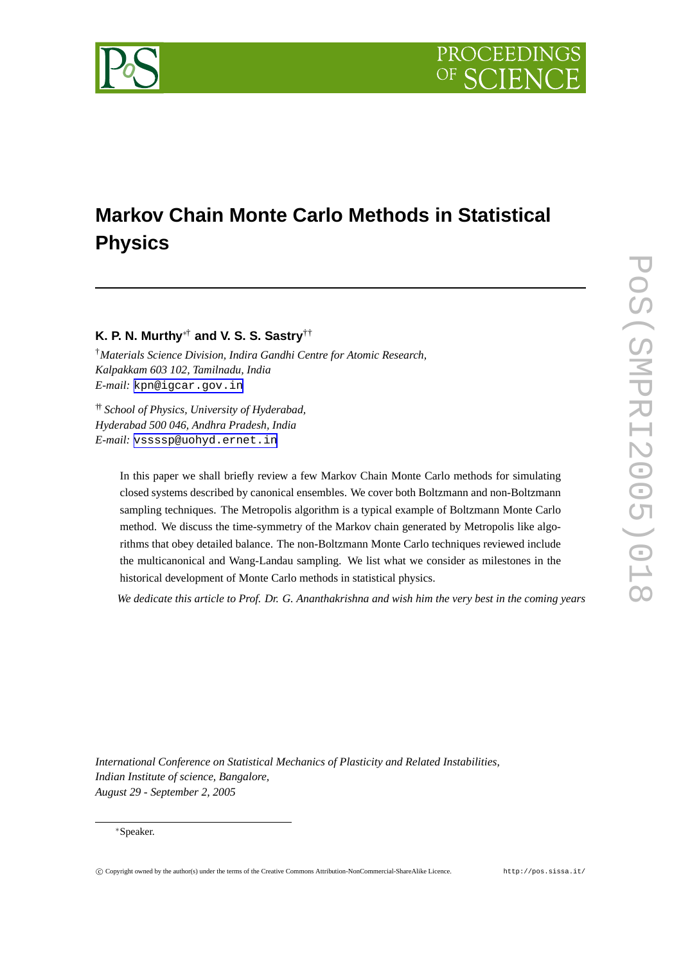# **Markov Chain Monte Carlo Methods in Statistical Physics**

## **K. P. N. Murthy** <sup>∗</sup>† **and V. S. S. Sastry** ††

† *Materials Science Division, Indira Gandhi Centre for Atomic Research, Kalpakkam 603 102, Tamilnadu, India E-mail:* [kpn@igcar.gov.in](mailto:kpn@igcar.gov.in)

†† *School of Physics, University of Hyderabad, Hyderabad 500 046, Andhra Pradesh, India E-mail:* [vssssp@uohyd.ernet.in](mailto:vssssp@uohyd.ernet.in)

> In this paper we shall briefly review a few Markov Chain Monte Carlo methods for simulating closed systems described by canonical ensembles. We cover both Boltzmann and non-Boltzmann sampling techniques. The Metropolis algorithm is a typical example of Boltzmann Monte Carlo method. We discuss the time-symmetry of the Markov chain generated by Metropolis like algorithms that obey detailed balance. The non-Boltzmann Monte Carlo techniques reviewed include the multicanonical and Wang-Landau sampling. We list what we consider as milestones in the historical development of Monte Carlo methods in statistical physics.

We dedicate this article to Prof. Dr. G. Ananthakrishna and wish him the very best in the coming years

*International Conference on Statistical Mechanics of Plasticity and Related Instabilities, Indian Institute of science, Bangalore, August 29 - September 2, 2005*

#### ∗Speaker.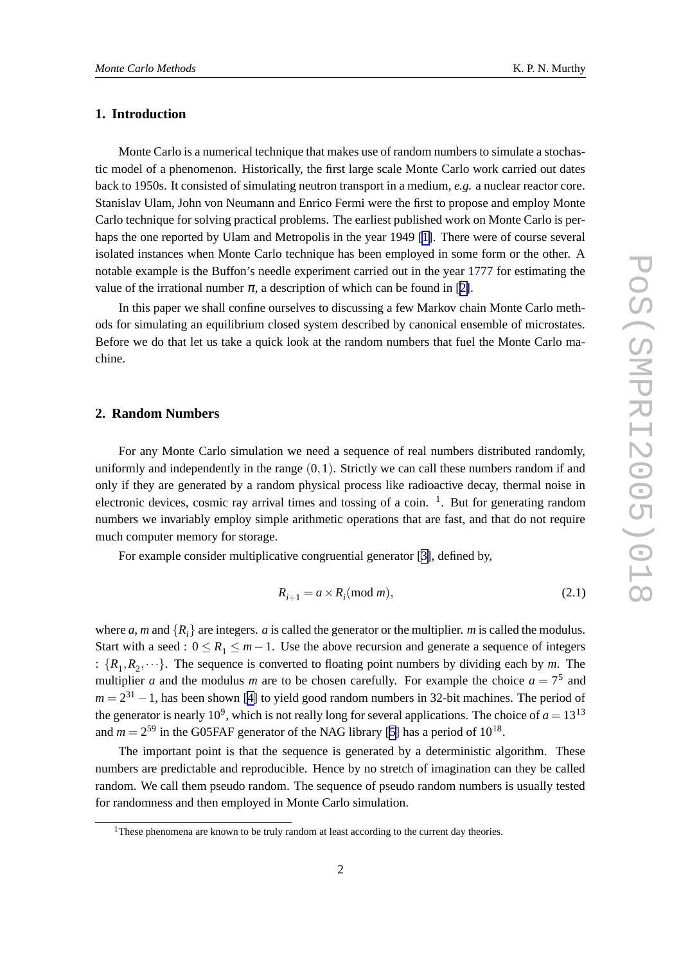#### **1. Introduction**

Monte Carlo is a numerical technique that makes use of random numbers to simulate a stochastic model of a phenomenon. Historically, the first large scale Monte Carlo work carried out dates back to 1950s. It consisted of simulating neutron transport in a medium, *e.g.* a nuclear reactor core. Stanislav Ulam, John von Neumann and Enrico Fermi were the first to propose and employ Monte Carlo technique for solving practical problems. The earliest published work on Monte Carlo is perhaps the one reported by Ulam and Metropolis in the year 1949 [\[1\]](#page-10-0). There were of course several isolated instances when Monte Carlo technique has been employed in some form or the other. A notable example is the Buffon's needle experiment carried out in the year 1777 for estimating the value of the irrational number  $\pi$ , a description of which can be found in [[2\]](#page-10-0).

In this paper we shall confine ourselves to discussing a few Markov chain Monte Carlo methods for simulating an equilibrium closed system described by canonical ensemble of microstates. Before we do that let us take a quick look at the random numbers that fuel the Monte Carlo machine.

#### **2. Random Numbers**

For any Monte Carlo simulation we need a sequence of real numbers distributed randomly, uniformly and independently in the range  $(0,1)$ . Strictly we can call these numbers random if and only if they are generated by a random physical process like radioactive decay, thermal noise in electronic devices, cosmic ray arrival times and tossing of a coin. <sup>1</sup>. But for generating random numbers we invariably employ simple arithmetic operations that are fast, and that do not require much computer memory for storage.

For example consider multiplicative congruential generator [[3\]](#page-10-0), defined by,

$$
R_{i+1} = a \times R_i \pmod{m},\tag{2.1}
$$

where *a*, *m* and  $\{R_i\}$  are integers. *a* is called the generator or the multiplier. *m* is called the modulus. Start with a seed :  $0 \le R_1 \le m - 1$ . Use the above recursion and generate a sequence of integers :  $\{R_1, R_2, \dots\}$ . The sequence is converted to floating point numbers by dividing each by *m*. The multiplier *a* and the modulus *m* are to be chosen carefully. For example the choice  $a = 7<sup>5</sup>$  and  $m = 2^{31} - 1$ , has been shown [\[4\]](#page-10-0) to yield good random numbers in 32-bit machines. The period of the generator is nearly 10<sup>9</sup>, which is not really long for several applications. The choice of  $a = 13^{13}$ and  $m = 2^{59}$  in the G05FAF generator of the NAG library [\[5\]](#page-10-0) has a period of  $10^{18}$ .

The important point is that the sequence is generated by a deterministic algorithm. These numbers are predictable and reproducible. Hence by no stretch of imagination can they be called random. We call them pseudo random. The sequence of pseudo random numbers is usually tested for randomness and then employed in Monte Carlo simulation.

<sup>&</sup>lt;sup>1</sup>These phenomena are known to be truly random at least according to the current day theories.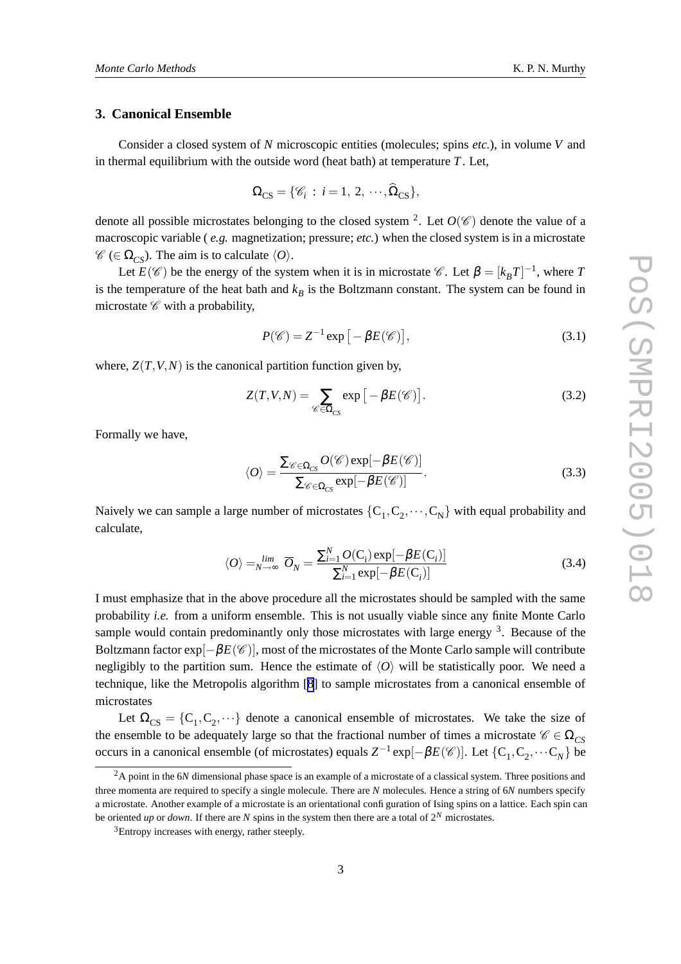#### **3. Canonical Ensemble**

Consider a closed system of *N* microscopic entities (molecules; spins *etc.*), in volume *V* and in thermal equilibrium with the outside word (heat bath) at temperature *T*. Let,

$$
\Omega_{\text{CS}} = \{ \mathscr{C}_i : i = 1, 2, \cdots, \widehat{\Omega}_{\text{CS}} \},
$$

denote all possible microstates belonging to the closed system <sup>2</sup>. Let  $O(\mathscr{C})$  denote the value of a macroscopic variable ( *e.g.* magnetization; pressure; *etc.*) when the closed system is in a microstate  $\mathscr{C}$  ( $\in \Omega_{CS}$ ). The aim is to calculate  $\langle O \rangle$ .

Let  $E(\mathscr{C})$  be the energy of the system when it is in microstate  $\mathscr{C}$ . Let  $\beta = [k_B T]^{-1}$ , where *T* is the temperature of the heat bath and  $k_B$  is the Boltzmann constant. The system can be found in microstate  $\mathscr C$  with a probability,

$$
P(\mathscr{C}) = Z^{-1} \exp\left[-\beta E(\mathscr{C})\right],\tag{3.1}
$$

where,  $Z(T, V, N)$  is the canonical partition function given by,

$$
Z(T, V, N) = \sum_{\mathscr{C} \in \Omega_{CS}} \exp\left[-\beta E(\mathscr{C})\right].
$$
 (3.2)

Formally we have,

$$
\langle O \rangle = \frac{\sum_{\mathscr{C} \in \Omega_{CS}} O(\mathscr{C}) \exp[-\beta E(\mathscr{C})]}{\sum_{\mathscr{C} \in \Omega_{CS}} \exp[-\beta E(\mathscr{C})]}.
$$
\n(3.3)

Naively we can sample a large number of microstates  $\{C_1, C_2, \dots, C_N\}$  with equal probability and calculate,

$$
\langle O \rangle = \lim_{N \to \infty} \overline{O}_N = \frac{\sum_{i=1}^N O(C_i) \exp[-\beta E(C_i)]}{\sum_{i=1}^N \exp[-\beta E(C_i)]}
$$
(3.4)

I must emphasize that in the above procedure all the microstates should be sampled with the same probability *i.e.* from a uniform ensemble. This is not usually viable since any finite Monte Carlo sample would contain predominantly only those microstates with large energy  $3$ . Because of the Boltzmann factor  $exp[-\beta E(\mathscr{C})]$ , most of the microstates of the Monte Carlo sample will contribute negligibly to the partition sum. Hence the estimate of  $\langle O \rangle$  will be statistically poor. We need a technique, like the Metropolis algorithm [[8](#page-10-0)] to sample microstates from a canonical ensemble of microstates

Let  $\Omega_{CS} = \{C_1, C_2, \dots\}$  denote a canonical ensemble of microstates. We take the size of the ensemble to be adequately large so that the fractional number of times a microstate  $\mathscr{C} \in \Omega_{CS}$ occurs in a canonical ensemble (of microstates) equals  $Z^{-1}$  exp[ $-\beta E(\mathscr{C})$ ]. Let  $\{C_1, C_2, \cdots C_N\}$  be

<sup>&</sup>lt;sup>2</sup>A point in the 6*N* dimensional phase space is an example of a microstate of a classical system. Three positions and three momenta are required to specify a single molecule. There are *N* molecules. Hence a string of 6*N* numbers specify a microstate. Another example of a microstate is an orientational configuration of Ising spins on a lattice. Each spin can be oriented *up* or *down*. If there are *N* spins in the system then there are a total of  $2^N$  microstates.

<sup>&</sup>lt;sup>3</sup>Entropy increases with energy, rather steeply.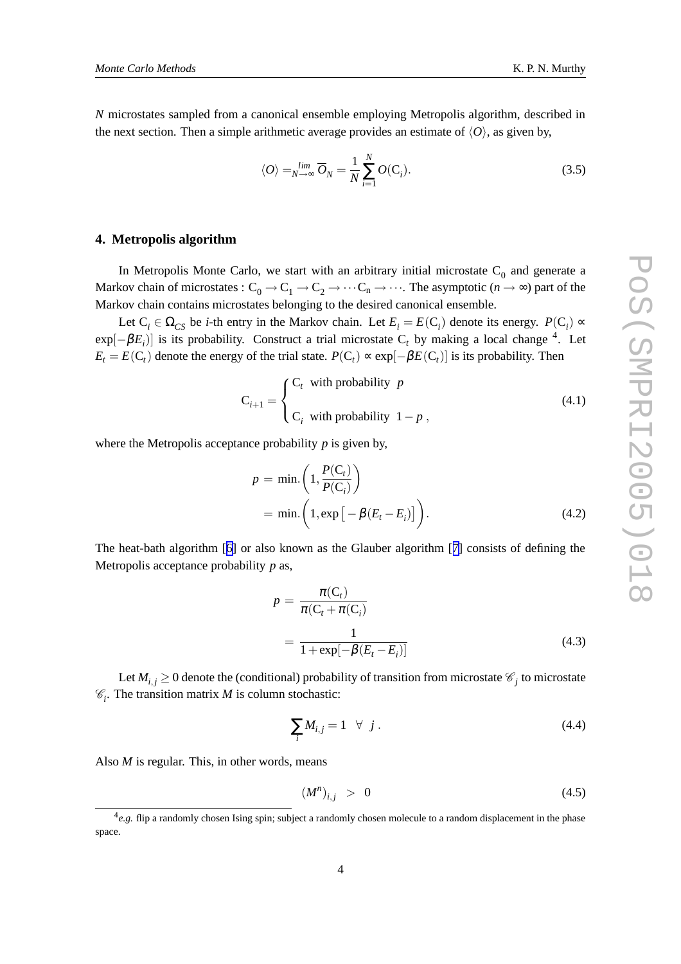*N* microstates sampled from a canonical ensemble employing Metropolis algorithm, described in the next section. Then a simple arithmetic average provides an estimate of  $\langle O \rangle$ , as given by,

$$
\langle O \rangle = \lim_{N \to \infty} \overline{O}_N = \frac{1}{N} \sum_{i=1}^N O(C_i). \tag{3.5}
$$

#### **4. Metropolis algorithm**

In Metropolis Monte Carlo, we start with an arbitrary initial microstate  $C_0$  and generate a Markov chain of microstates :  $C_0 \to C_1 \to C_2 \to \cdots C_n \to \cdots$ . The asymptotic  $(n \to \infty)$  part of the Markov chain contains microstates belonging to the desired canonical ensemble.

Let  $C_i \in \Omega_{CS}$  be *i*-th entry in the Markov chain. Let  $E_i = E(C_i)$  denote its energy.  $P(C_i) \propto$  $\exp[-\beta E_i]$  is its probability. Construct a trial microstate C<sub>t</sub> by making a local change <sup>4</sup>. Let  $E_t = E(C_t)$  denote the energy of the trial state.  $P(C_t) \propto \exp[-\beta E(C_t)]$  is its probability. Then

$$
C_{i+1} = \begin{cases} C_t & \text{with probability } p \\ C_i & \text{with probability } 1 - p \end{cases}
$$
 (4.1)

where the Metropolis acceptance probability *p* is given by,

$$
p = \min\left(1, \frac{P(C_t)}{P(C_i)}\right)
$$
  
= min.  $\left(1, \exp\left[-\beta(E_t - E_i)\right]\right)$ . (4.2)

The heat-bath algorithm [[6](#page-10-0)] or also known as the Glauber algorithm [[7\]](#page-10-0) consists of defining the Metropolis acceptance probability *p* as,

$$
p = \frac{\pi(\mathbf{C}_t)}{\pi(\mathbf{C}_t + \pi(\mathbf{C}_i))}
$$
  
= 
$$
\frac{1}{1 + \exp[-\beta(E_t - E_i)]}
$$
(4.3)

Let  $M_{i,j} \geq 0$  denote the (conditional) probability of transition from microstate  $\mathscr{C}_j$  to microstate  $\mathcal{C}_i$ . The transition matrix *M* is column stochastic:

$$
\sum_{i} M_{i,j} = 1 \quad \forall \quad j \tag{4.4}
$$

Also *M* is regular. This, in other words, means

$$
\left(M^n\right)_{i,j} > 0 \tag{4.5}
$$

<sup>&</sup>lt;sup>4</sup>e.g. flip a randomly chosen Ising spin; subject a randomly chosen molecule to a random displacement in the phase space.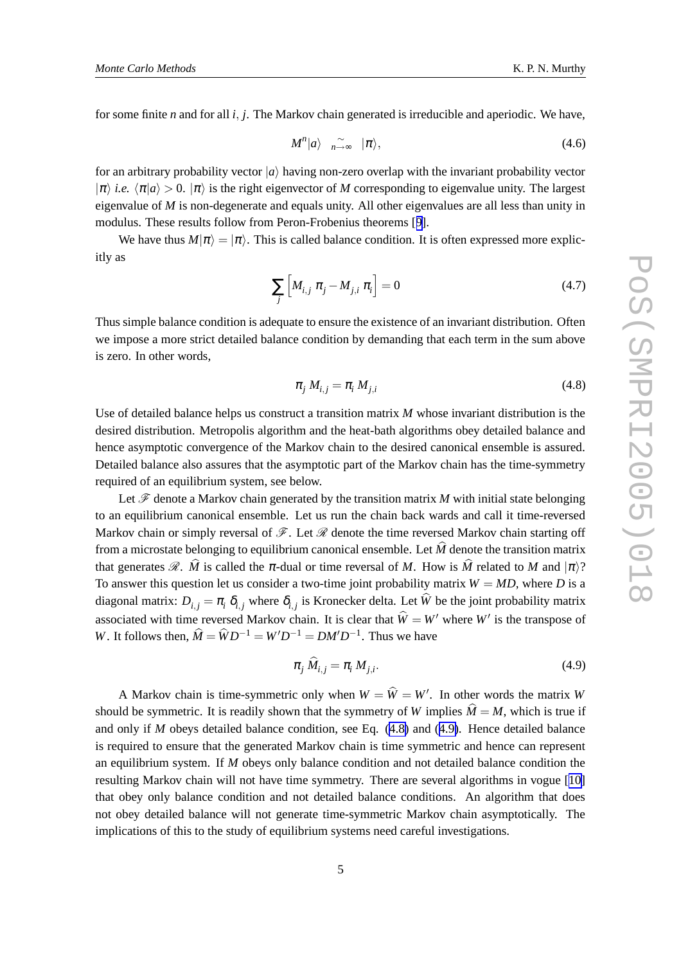for some finite *n* and for all *i*, *j*. The Markov chain generated is irreducible and aperiodic. We have,

$$
M^n|a\rangle \quad \sim_{n\to\infty} \quad |\pi\rangle, \tag{4.6}
$$

for an arbitrary probability vector  $|a\rangle$  having non-zero overlap with the invariant probability vector  $|\pi\rangle$  *i.e.*  $\langle \pi | a \rangle > 0$ .  $|\pi\rangle$  is the right eigenvector of *M* corresponding to eigenvalue unity. The largest eigenvalue of *M* is non-degenerate and equals unity. All other eigenvalues are all less than unity in modulus. These results follow from Peron-Frobenius theorems [[9\]](#page-10-0).

We have thus  $M|\pi\rangle = |\pi\rangle$ . This is called balance condition. It is often expressed more explicitly as

$$
\sum_{j} \left[ M_{i,j} \pi_j - M_{j,i} \pi_i \right] = 0 \tag{4.7}
$$

Thus simple balance condition is adequate to ensure the existence of an invariant distribution. Often we impose a more strict detailed balance condition by demanding that each term in the sum above is zero. In other words,

$$
\pi_j M_{i,j} = \pi_i M_{j,i} \tag{4.8}
$$

Use of detailed balance helps us construct a transition matrix *M* whose invariant distribution is the desired distribution. Metropolis algorithm and the heat-bath algorithms obey detailed balance and hence asymptotic convergence of the Markov chain to the desired canonical ensemble is assured. Detailed balance also assures that the asymptotic part of the Markov chain has the time-symmetry required of an equilibrium system, see below.

Let  $\mathscr F$  denote a Markov chain generated by the transition matrix *M* with initial state belonging to an equilibrium canonical ensemble. Let us run the chain back wards and call it time-reversed Markov chain or simply reversal of  $\mathscr{F}$ . Let  $\mathscr{R}$  denote the time reversed Markov chain starting off from a microstate belonging to equilibrium canonical ensemble. Let  $\hat{M}$  denote the transition matrix that generates  $\mathcal{R}$ .  $\hat{M}$  is called the  $\pi$ -dual or time reversal of *M*. How is  $\hat{M}$  related to *M* and  $|\pi\rangle$ ? To answer this question let us consider a two-time joint probability matrix  $W = MD$ , where *D* is a diagonal matrix:  $D_{i,j} = \pi_i \delta_{i,j}$  where  $\delta_{i,j}$  is Kronecker delta. Let *W* be the joint probability matrix associated with time reversed Markov chain. It is clear that  $W = W'$  where  $W'$  is the transpose of *W*. It follows then,  $\hat{M} = \hat{W}D^{-1} = W'D^{-1} = DM'D^{-1}$ . Thus we have

$$
\pi_j \tilde{M}_{i,j} = \pi_i M_{j,i}.\tag{4.9}
$$

A Markov chain is time-symmetric only when  $W = W = W'$ . In other words the matrix *W* should be symmetric. It is readily shown that the symmetry of *W* implies  $\hat{M} = M$ , which is true if and only if *M* obeys detailed balance condition, see Eq. (4.8) and (4.9). Hence detailed balance is required to ensure that the generated Markov chain is time symmetric and hence can represent an equilibrium system. If *M* obeys only balance condition and not detailed balance condition the resulting Markov chain will not have time symmetry. There are several algorithms in vogue [[10\]](#page-10-0) that obey only balance condition and not detailed balance conditions. An algorithm that does not obey detailed balance will not generate time-symmetric Markov chain asymptotically. The implications of this to the study of equilibrium systems need careful investigations.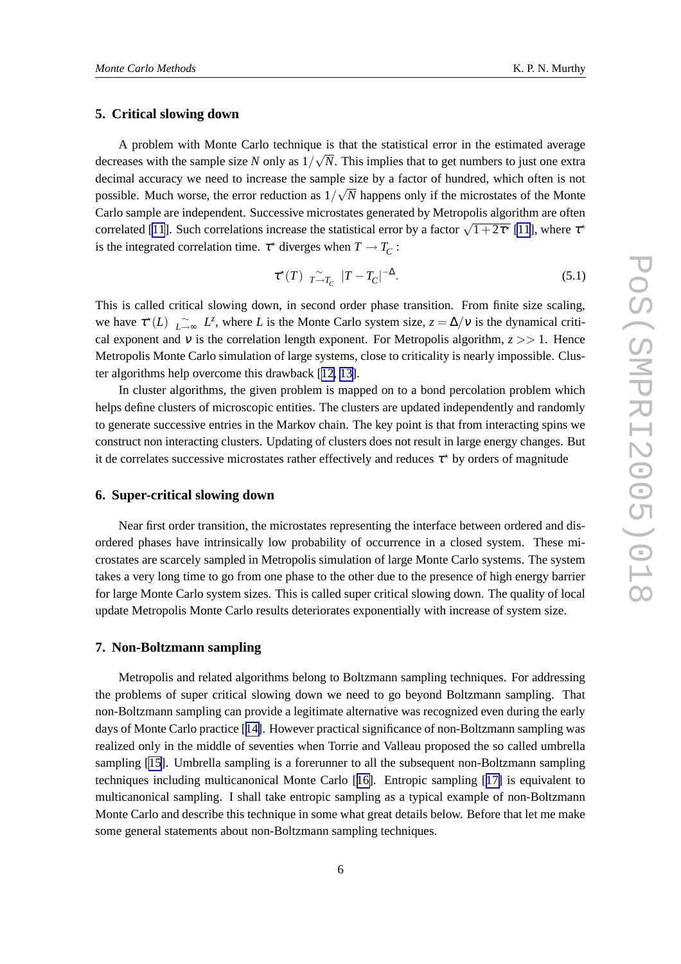#### **5. Critical slowing down**

A problem with Monte Carlo technique is that the statistical error in the estimated average decreases with the sample size *N* only as  $1/\sqrt{N}$ . This implies that to get numbers to just one extra decimal accuracy we need to increase the sample size by a factor of hundred, which often is not possible. Much worse, the error reduction as  $1/\sqrt{N}$  happens only if the microstates of the Monte Carlo sample are independent. Successive microstates generated by Metropolis algorithm are often correlated [\[11](#page-10-0)]. Such correlations increase the statistical error by a factor  $\sqrt{1+2\tau^*}$  [11], where  $\tau^*$ is the integrated correlation time.  $\tau^*$  diverges when  $T \to T_C$ :

$$
\tau^*(T) \underset{T \to T_C}{\sim} |T - T_C|^{-\Delta}.
$$
\n(5.1)

This is called critical slowing down, in second order phase transition. From finite size scaling, we have  $\tau^*(L)$   $\underset{L\to\infty}{\sim}$  *L*<sup>*z*</sup>, where *L* is the Monte Carlo system size,  $z = \Delta/V$  is the dynamical critical exponent and v is the correlation length exponent. For Metropolis algorithm,  $z \gg 1$ . Hence Metropolis Monte Carlo simulation of large systems, close to criticality is nearly impossible. Cluster algorithms help overcome this drawback [[12,](#page-10-0) [13\]](#page-10-0).

In cluster algorithms, the given problem is mapped on to a bond percolation problem which helps define clusters of microscopic entities. The clusters are updated independently and randomly to generate successive entries in the Markov chain. The key point is that from interacting spins we construct non interacting clusters. Updating of clusters does not result in large energy changes. But it de correlates successive microstates rather effectively and reduces  $\tau^*$  by orders of magnitude

#### **6. Super-critical slowing down**

Near first order transition, the microstates representing the interface between ordered and disordered phases have intrinsically low probability of occurrence in a closed system. These microstates are scarcely sampled in Metropolis simulation of large Monte Carlo systems. The system takes a very long time to go from one phase to the other due to the presence of high energy barrier for large Monte Carlo system sizes. This is called super critical slowing down. The quality of local update Metropolis Monte Carlo results deteriorates exponentially with increase of system size.

### **7. Non-Boltzmann sampling**

Metropolis and related algorithms belong to Boltzmann sampling techniques. For addressing the problems of super critical slowing down we need to go beyond Boltzmann sampling. That non-Boltzmann sampling can provide a legitimate alternative was recognized even during the early days of Monte Carlo practice [[14\]](#page-10-0). However practical significance of non-Boltzmann sampling was realized only in the middle of seventies when Torrie and Valleau proposed the so called umbrella sampling [\[15\]](#page-10-0). Umbrella sampling is a forerunner to all the subsequent non-Boltzmann sampling techniques including multicanonical Monte Carlo [[16\]](#page-10-0). Entropic sampling [[17\]](#page-10-0) is equivalent to multicanonical sampling. I shall take entropic sampling as a typical example of non-Boltzmann Monte Carlo and describe this technique in some what great details below. Before that let me make some general statements about non-Boltzmann sampling techniques.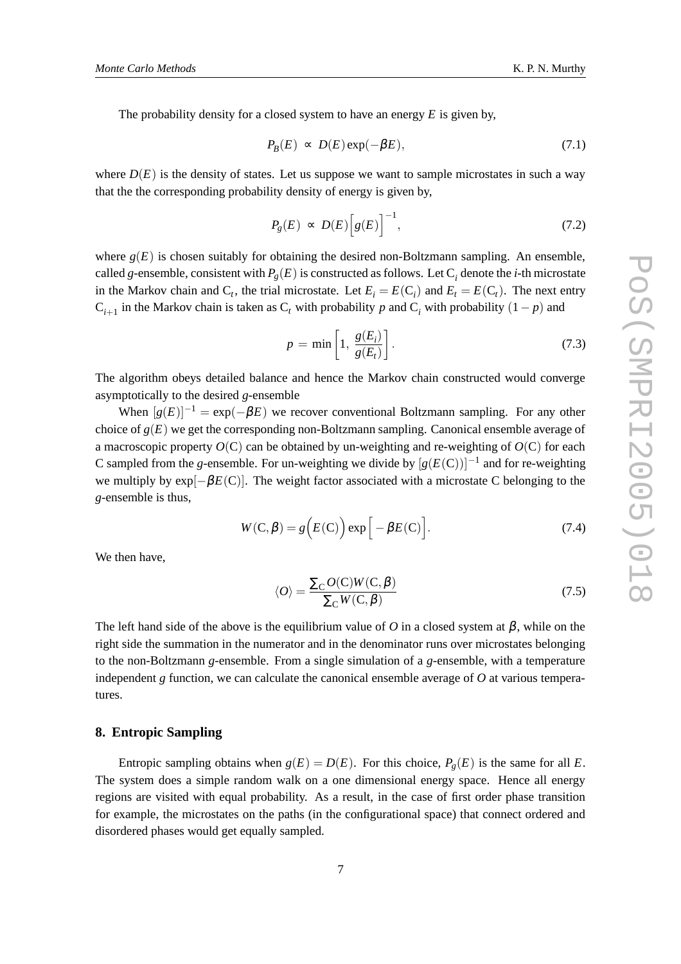The probability density for a closed system to have an energy *E* is given by,

$$
P_B(E) \propto D(E) \exp(-\beta E), \tag{7.1}
$$

where  $D(E)$  is the density of states. Let us suppose we want to sample microstates in such a way that the the corresponding probability density of energy is given by,

$$
P_g(E) \propto D(E) \Big[ g(E) \Big]^{-1},\tag{7.2}
$$

where  $g(E)$  is chosen suitably for obtaining the desired non-Boltzmann sampling. An ensemble, called *g*-ensemble, consistent with  $P_g(E)$  is constructed as follows. Let  $C_i$  denote the *i*-th microstate in the Markov chain and  $C_t$ , the trial microstate. Let  $E_i = E(C_i)$  and  $E_t = E(C_t)$ . The next entry  $C_{i+1}$  in the Markov chain is taken as  $C_t$  with probability *p* and  $C_i$  with probability  $(1-p)$  and

$$
p = \min\left[1, \frac{g(E_i)}{g(E_t)}\right].
$$
\n(7.3)

The algorithm obeys detailed balance and hence the Markov chain constructed would converge asymptotically to the desired *g*-ensemble

When  $[g(E)]^{-1} = \exp(-\beta E)$  we recover conventional Boltzmann sampling. For any other choice of  $g(E)$  we get the corresponding non-Boltzmann sampling. Canonical ensemble average of a macroscopic property  $O(C)$  can be obtained by un-weighting and re-weighting of  $O(C)$  for each C sampled from the *g*-ensemble. For un-weighting we divide by  $[g(E(C))]^{-1}$  and for re-weighting we multiply by exp[−β*E*(C)]. The weight factor associated with a microstate C belonging to the *g*-ensemble is thus,

$$
W(C, \beta) = g(E(C)) \exp \left[ -\beta E(C) \right].
$$
 (7.4)

We then have,

$$
\langle O \rangle = \frac{\Sigma_{\rm C} O(C) W(C, \beta)}{\Sigma_{\rm C} W(C, \beta)}
$$
(7.5)

The left hand side of the above is the equilibrium value of *O* in a closed system at  $\beta$ , while on the right side the summation in the numerator and in the denominator runs over microstates belonging to the non-Boltzmann *g*-ensemble. From a single simulation of a *g*-ensemble, with a temperature independent *g* function, we can calculate the canonical ensemble average of *O* at various temperatures.

#### **8. Entropic Sampling**

Entropic sampling obtains when  $g(E) = D(E)$ . For this choice,  $P_g(E)$  is the same for all *E*. The system does a simple random walk on a one dimensional energy space. Hence all energy regions are visited with equal probability. As a result, in the case of first order phase transition for example, the microstates on the paths (in the configurational space) that connect ordered and disordered phases would get equally sampled.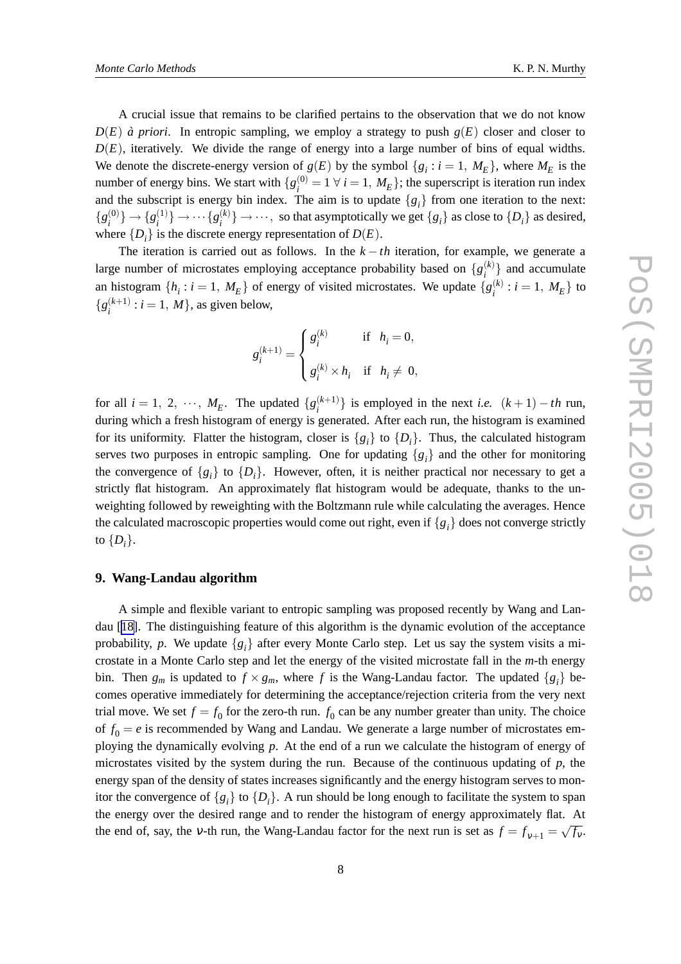A crucial issue that remains to be clarified pertains to the observation that we do not know  $D(E)$  *à priori*. In entropic sampling, we employ a strategy to push  $g(E)$  closer and closer to  $D(E)$ , iteratively. We divide the range of energy into a large number of bins of equal widths. We denote the discrete-energy version of  $g(E)$  by the symbol  $\{g_i : i = 1, M_E\}$ , where  $M_E$  is the number of energy bins. We start with  $\{g_i^{(0)}\}$  $a_i^{(0)} = 1 \ \forall \ i = 1, M_E$ ; the superscript is iteration run index and the subscript is energy bin index. The aim is to update  $\{g_i\}$  from one iteration to the next:  $\{g^{(0)}_i$  $\{g_i^{(1)}\} \rightarrow \{g_i^{(1)}\}$  $\{a_i^{(1)}\} \to \cdots \{g_i^{(k)}\}$  $\{S_i^{(k)}\} \rightarrow \cdots$ , so that asymptotically we get  $\{g_i\}$  as close to  $\{D_i\}$  as desired, where  $\{D_i\}$  is the discrete energy representation of  $D(E)$ .

The iteration is carried out as follows. In the  $k - th$  iteration, for example, we generate a large number of microstates employing acceptance probability based on  $\{g_i^{(k)}\}$  and accumulate *i* an histogram  $\{h_i : i = 1, M_E\}$  of energy of visited microstates. We update  $\{g_i^{(k)}\}$  $i^{(k)}$  :  $i = 1, M_E$  to  ${g_i^{(k+1)}}$  $i_i^{(k+1)}$  :  $i = 1, M$ , as given below,

$$
\label{eq:1D1V:comp} g_i^{(k+1)} = \left\{ \begin{aligned} &g_i^{(k)} &\quad \text{if} \quad h_i = 0, \\ &g_i^{(k)} \times h_i &\quad \text{if} \quad h_i \neq \ 0, \end{aligned} \right.
$$

for all  $i = 1, 2, \dots, M_E$ . The updated  $\{g_i^{(k+1)}\}$  $\binom{k+1}{i}$  is employed in the next *i.e.*  $(k+1) - th$  run, during which a fresh histogram of energy is generated. After each run, the histogram is examined for its uniformity. Flatter the histogram, closer is  $\{g_i\}$  to  $\{D_i\}$ . Thus, the calculated histogram serves two purposes in entropic sampling. One for updating  ${g_i}$  and the other for monitoring the convergence of  $\{g_i\}$  to  $\{D_i\}$ . However, often, it is neither practical nor necessary to get a strictly flat histogram. An approximately flat histogram would be adequate, thanks to the unweighting followed by reweighting with the Boltzmann rule while calculating the averages. Hence the calculated macroscopic properties would come out right, even if  ${g_i}$  does not converge strictly to  $\{D_i\}.$ 

#### **9. Wang-Landau algorithm**

A simple and flexible variant to entropic sampling was proposed recently by Wang and Landau [[18\]](#page-10-0). The distinguishing feature of this algorithm is the dynamic evolution of the acceptance probability, p. We update  $\{g_i\}$  after every Monte Carlo step. Let us say the system visits a microstate in a Monte Carlo step and let the energy of the visited microstate fall in the *m*-th energy bin. Then  $g_m$  is updated to  $f \times g_m$ , where f is the Wang-Landau factor. The updated  $\{g_i\}$  becomes operative immediately for determining the acceptance/rejection criteria from the very next trial move. We set  $f = f_0$  for the zero-th run.  $f_0$  can be any number greater than unity. The choice of  $f_0 = e$  is recommended by Wang and Landau. We generate a large number of microstates employing the dynamically evolving *p*. At the end of a run we calculate the histogram of energy of microstates visited by the system during the run. Because of the continuous updating of *p*, the energy span of the density of states increases significantly and the energy histogram serves to monitor the convergence of  $\{g_i\}$  to  $\{D_i\}$ . A run should be long enough to facilitate the system to span the energy over the desired range and to render the histogram of energy approximately flat. At the end of, say, the v-th run, the Wang-Landau factor for the next run is set as  $f = f_{v+1} = \sqrt{f_v}$ .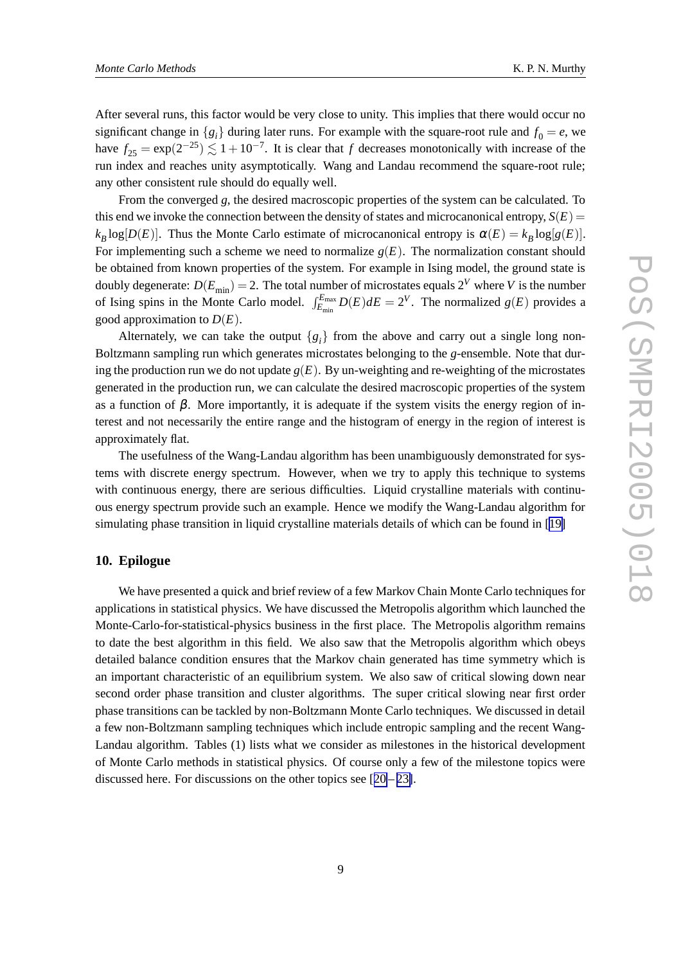After several runs, this factor would be very close to unity. This implies that there would occur no significant change in  ${g_i}$  during later runs. For example with the square-root rule and  $f_0 = e$ , we have  $f_{25} = \exp(2^{-25}) \lesssim 1 + 10^{-7}$ . It is clear that *f* decreases monotonically with increase of the run index and reaches unity asymptotically. Wang and Landau recommend the square-root rule; any other consistent rule should do equally well.

From the converged *g*, the desired macroscopic properties of the system can be calculated. To this end we invoke the connection between the density of states and microcanonical entropy,  $S(E)$  =  $k_B$ log[*D*(*E*)]. Thus the Monte Carlo estimate of microcanonical entropy is  $\alpha(E) = k_B \log[g(E)]$ . For implementing such a scheme we need to normalize  $g(E)$ . The normalization constant should be obtained from known properties of the system. For example in Ising model, the ground state is doubly degenerate:  $D(E_{\text{min}}) = 2$ . The total number of microstates equals  $2^V$  where *V* is the number of Ising spins in the Monte Carlo model.  $\int_{E_{\text{min}}}^{E_{\text{max}}} D(E) dE = 2^V$ . The normalized  $g(E)$  provides a good approximation to  $D(E)$ .

Alternately, we can take the output  $\{g_i\}$  from the above and carry out a single long non-Boltzmann sampling run which generates microstates belonging to the *g*-ensemble. Note that during the production run we do not update  $g(E)$ . By un-weighting and re-weighting of the microstates generated in the production run, we can calculate the desired macroscopic properties of the system as a function of  $\beta$ . More importantly, it is adequate if the system visits the energy region of interest and not necessarily the entire range and the histogram of energy in the region of interest is approximately flat.

The usefulness of the Wang-Landau algorithm has been unambiguously demonstrated for systems with discrete energy spectrum. However, when we try to apply this technique to systems with continuous energy, there are serious difficulties. Liquid crystalline materials with continuous energy spectrum provide such an example. Hence we modify the Wang-Landau algorithm for simulating phase transition in liquid crystalline materials details of which can be found in [[19\]](#page-10-0)

#### **10. Epilogue**

We have presented a quick and brief review of a few Markov Chain Monte Carlo techniques for applications in statistical physics. We have discussed the Metropolis algorithm which launched the Monte-Carlo-for-statistical-physics business in the first place. The Metropolis algorithm remains to date the best algorithm in this field. We also saw that the Metropolis algorithm which obeys detailed balance condition ensures that the Markov chain generated has time symmetry which is an important characteristic of an equilibrium system. We also saw of critical slowing down near second order phase transition and cluster algorithms. The super critical slowing near first order phase transitions can be tackled by non-Boltzmann Monte Carlo techniques. We discussed in detail a few non-Boltzmann sampling techniques which include entropic sampling and the recent Wang-Landau algorithm. Tables (1) lists what we consider as milestones in the historical development of Monte Carlo methods in statistical physics. Of course only a few of the milestone topics were discussed here. For discussions on the other topics see  $[20-23]$  $[20-23]$  $[20-23]$  $[20-23]$ .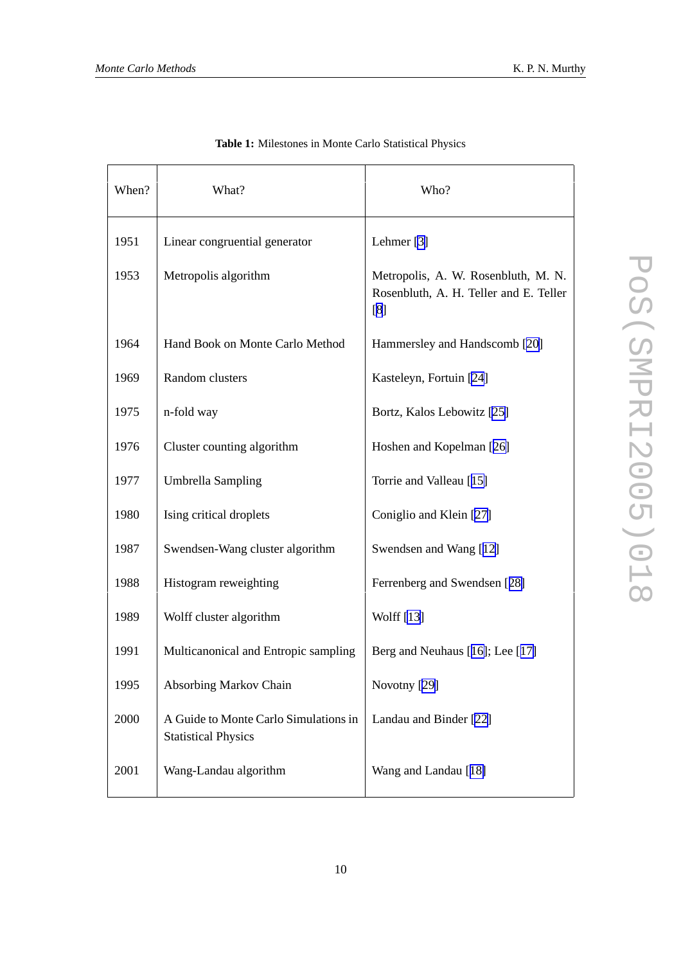| When? | What?                                                               | Who?                                                                                 |
|-------|---------------------------------------------------------------------|--------------------------------------------------------------------------------------|
| 1951  | Linear congruential generator                                       | Lehmer <sup>[3]</sup>                                                                |
| 1953  | Metropolis algorithm                                                | Metropolis, A. W. Rosenbluth, M. N.<br>Rosenbluth, A. H. Teller and E. Teller<br>[8] |
| 1964  | Hand Book on Monte Carlo Method                                     | Hammersley and Handscomb [20]                                                        |
| 1969  | Random clusters                                                     | Kasteleyn, Fortuin [24]                                                              |
| 1975  | n-fold way                                                          | Bortz, Kalos Lebowitz [25]                                                           |
| 1976  | Cluster counting algorithm                                          | Hoshen and Kopelman [26]                                                             |
| 1977  | <b>Umbrella Sampling</b>                                            | Torrie and Valleau [15]                                                              |
| 1980  | Ising critical droplets                                             | Coniglio and Klein [27]                                                              |
| 1987  | Swendsen-Wang cluster algorithm                                     | Swendsen and Wang [12]                                                               |
| 1988  | Histogram reweighting                                               | Ferrenberg and Swendsen [28]                                                         |
| 1989  | Wolff cluster algorithm                                             | Wolff [13]                                                                           |
| 1991  | Multicanonical and Entropic sampling                                | Berg and Neuhaus [16]; Lee [17]                                                      |
| 1995  | <b>Absorbing Markov Chain</b>                                       | Novotny [29]                                                                         |
| 2000  | A Guide to Monte Carlo Simulations in<br><b>Statistical Physics</b> | Landau and Binder [22]                                                               |
| 2001  | Wang-Landau algorithm                                               | Wang and Landau [18]                                                                 |

**Table 1:** Milestones in Monte Carlo Statistical Physics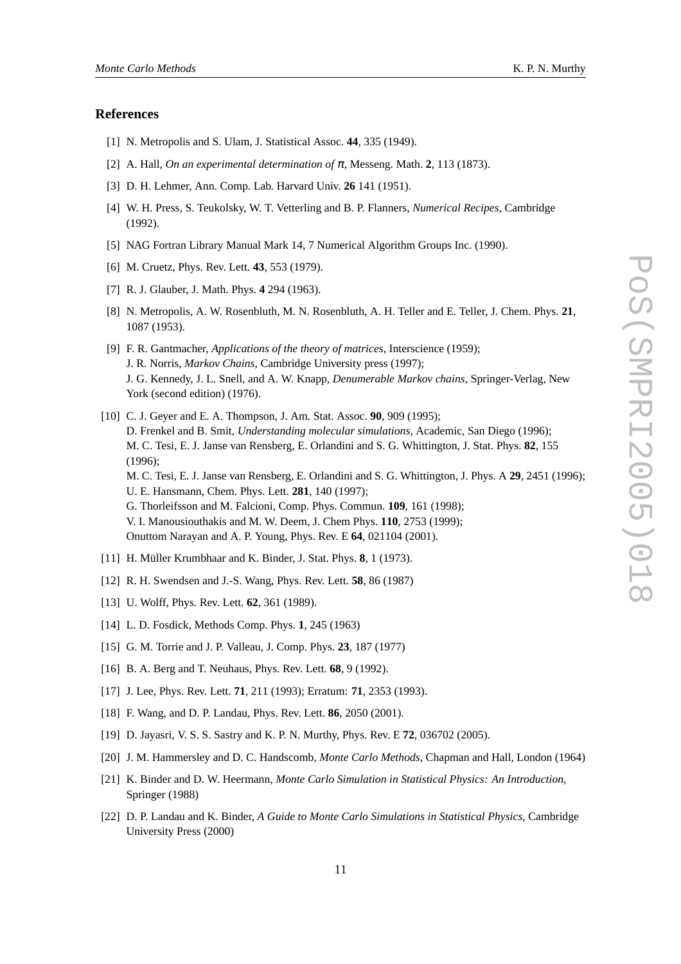#### <span id="page-10-0"></span>**References**

- [1] N. Metropolis and S. Ulam, J. Statistical Assoc. **44**, 335 (1949).
- [2] A. Hall, *On an experimental determination of*  $\pi$ , Messeng. Math. **2**, 113 (1873).
- [3] D. H. Lehmer, Ann. Comp. Lab. Harvard Univ. **26** 141 (1951).
- [4] W. H. Press, S. Teukolsky, W. T. Vetterling and B. P. Flanners, *Numerical Recipes*, Cambridge (1992).
- [5] NAG Fortran Library Manual Mark 14, 7 Numerical Algorithm Groups Inc. (1990).
- [6] M. Cruetz, Phys. Rev. Lett. **43**, 553 (1979).
- [7] R. J. Glauber, J. Math. Phys. **4** 294 (1963).
- [8] N. Metropolis, A. W. Rosenbluth, M. N. Rosenbluth, A. H. Teller and E. Teller, J. Chem. Phys. **21**, 1087 (1953).
- [9] F. R. Gantmacher, *Applications of the theory of matrices*, Interscience (1959); J. R. Norris, *Markov Chains*, Cambridge University press (1997); J. G. Kennedy, J. L. Snell, and A. W. Knapp, *Denumerable Markov chains*, Springer-Verlag, New York (second edition) (1976).
- [10] C. J. Geyer and E. A. Thompson, J. Am. Stat. Assoc. **90**, 909 (1995); D. Frenkel and B. Smit, *Understanding molecular simulations*, Academic, San Diego (1996); M. C. Tesi, E. J. Janse van Rensberg, E. Orlandini and S. G. Whittington, J. Stat. Phys. **82**, 155 (1996); M. C. Tesi, E. J. Janse van Rensberg, E. Orlandini and S. G. Whittington, J. Phys. A **29**, 2451 (1996); U. E. Hansmann, Chem. Phys. Lett. **281**, 140 (1997); G. Thorleifsson and M. Falcioni, Comp. Phys. Commun. **109**, 161 (1998); V. I. Manousiouthakis and M. W. Deem, J. Chem Phys. **110**, 2753 (1999); Onuttom Narayan and A. P. Young, Phys. Rev. E **64**, 021104 (2001).
- [11] H. Müller Krumbhaar and K. Binder, J. Stat. Phys. **8**, 1 (1973).
- [12] R. H. Swendsen and J.-S. Wang, Phys. Rev. Lett. **58**, 86 (1987)
- [13] U. Wolff, Phys. Rev. Lett. **62**, 361 (1989).
- [14] L. D. Fosdick, Methods Comp. Phys. **1**, 245 (1963)
- [15] G. M. Torrie and J. P. Valleau, J. Comp. Phys. **23**, 187 (1977)
- [16] B. A. Berg and T. Neuhaus, Phys. Rev. Lett. **68**, 9 (1992).
- [17] J. Lee, Phys. Rev. Lett. **71**, 211 (1993); Erratum: **71**, 2353 (1993).
- [18] F. Wang, and D. P. Landau, Phys. Rev. Lett. **86**, 2050 (2001).
- [19] D. Jayasri, V. S. S. Sastry and K. P. N. Murthy, Phys. Rev. E **72**, 036702 (2005).
- [20] J. M. Hammersley and D. C. Handscomb, *Monte Carlo Methods*, Chapman and Hall, London (1964)
- [21] K. Binder and D. W. Heermann, *Monte Carlo Simulation in Statistical Physics: An Introduction*, Springer (1988)
- [22] D. P. Landau and K. Binder, *A Guide to Monte Carlo Simulations in Statistical Physics*, Cambridge University Press (2000)